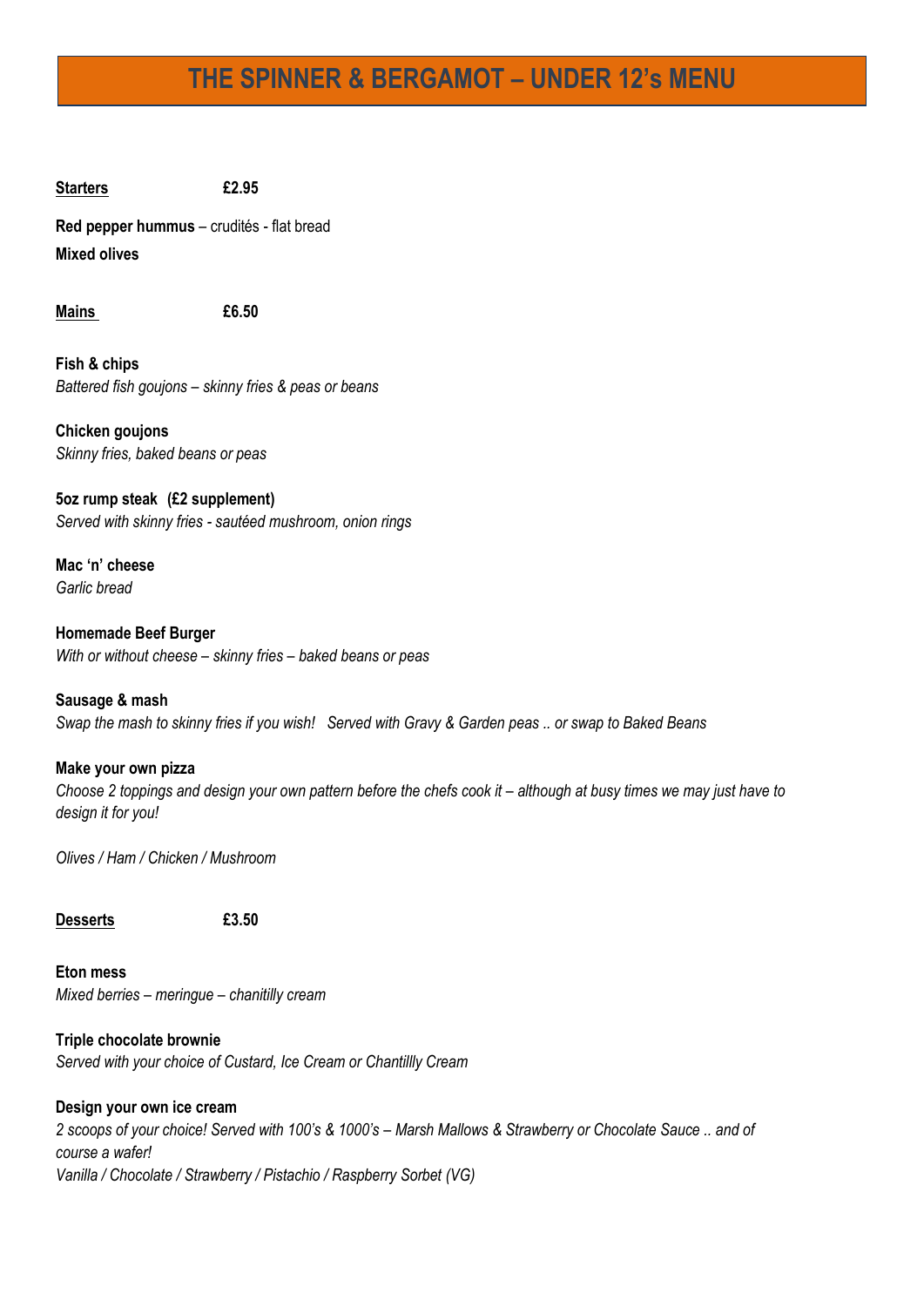## **THE SPINNER & BERGAMOT – UNDER 12's MENU**

**Starters £2.95**

**Red pepper hummus** – crudités - flat bread **Mixed olives**

**Mains £6.50**

**Fish & chips**  *Battered fish goujons – skinny fries & peas or beans*

**Chicken goujons**  *Skinny fries, baked beans or peas*

**5oz rump steak (£2 supplement)** *Served with skinny fries - sautéed mushroom, onion rings*

**Mac 'n' cheese** *Garlic bread*

**Homemade Beef Burger** *With or without cheese – skinny fries – baked beans or peas*

**Sausage & mash** *Swap the mash to skinny fries if you wish! Served with Gravy & Garden peas .. or swap to Baked Beans* 

**Make your own pizza** *Choose 2 toppings and design your own pattern before the chefs cook it – although at busy times we may just have to design it for you!*

*Olives / Ham / Chicken / Mushroom* 

**Desserts £3.50**

**Eton mess** *Mixed berries – meringue – chanitilly cream*

**Triple chocolate brownie** *Served with your choice of Custard, Ice Cream or Chantillly Cream*

## **Design your own ice cream**

*2 scoops of your choice! Served with 100's & 1000's – Marsh Mallows & Strawberry or Chocolate Sauce .. and of course a wafer! Vanilla / Chocolate / Strawberry / Pistachio / Raspberry Sorbet (VG)*